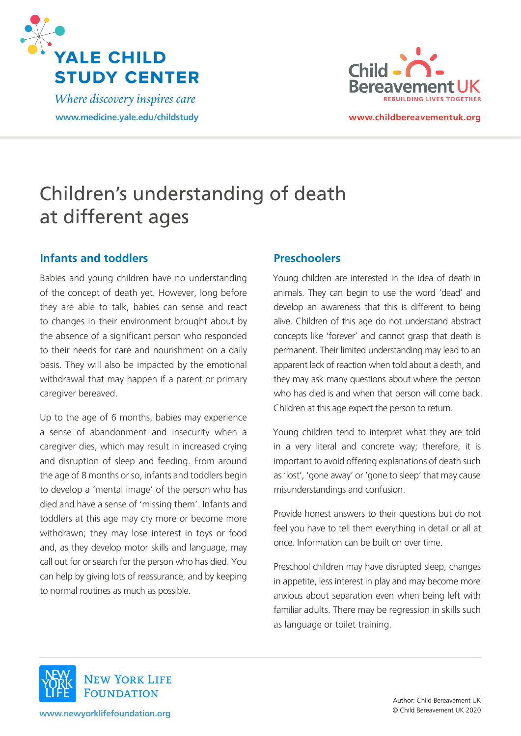

Where discovery inspires care **[www.medicine.yale.edu/childstudy](http://www.medicine.yale.edu/childstudy) [www.childbereavementuk.org](http://www.childbereavementuk.org)**



# Children's understanding of death at different ages

## **Infants and toddlers**

Babies and young children have no understanding of the concept of death yet. However, long before they are able to talk, babies can sense and react to changes in their environment brought about by the absence of a significant person who responded to their needs for care and nourishment on a daily basis. They will also be impacted by the emotional withdrawal that may happen if a parent or primary caregiver bereaved.

Up to the age of 6 months, babies may experience a sense of abandonment and insecurity when a caregiver dies, which may result in increased crying and disruption of sleep and feeding. From around the age of 8 months or so, infants and toddlers begin to develop a 'mental image' of the person who has died and have a sense of 'missing them'. Infants and toddlers at this age may cry more or become more withdrawn; they may lose interest in toys or food and, as they develop motor skills and language, may call out for or search for the person who has died. You can help by giving lots of reassurance, and by keeping to normal routines as much as possible.

### **Preschoolers**

Young children are interested in the idea of death in animals. They can begin to use the word 'dead' and develop an awareness that this is different to being alive. Children of this age do not understand abstract concepts like 'forever' and cannot grasp that death is permanent. Their limited understanding may lead to an apparent lack of reaction when told about a death, and they may ask many questions about where the person who has died is and when that person will come back. Children at this age expect the person to return.

Young children tend to interpret what they are told in a very literal and concrete way; therefore, it is important to avoid offering explanations of death such as 'lost', 'gone away' or 'gone to sleep' that may cause misunderstandings and confusion.

Provide honest answers to their questions but do not feel you have to tell them everything in detail or all at once. Information can be built on over time.

Preschool children may have disrupted sleep, changes in appetite, less interest in play and may become more anxious about separation even when being left with familiar adults. There may be regression in skills such as language or toilet training.



**[www.newyorklifefoundation.org](http://www.newyorklifefoundation.org)**